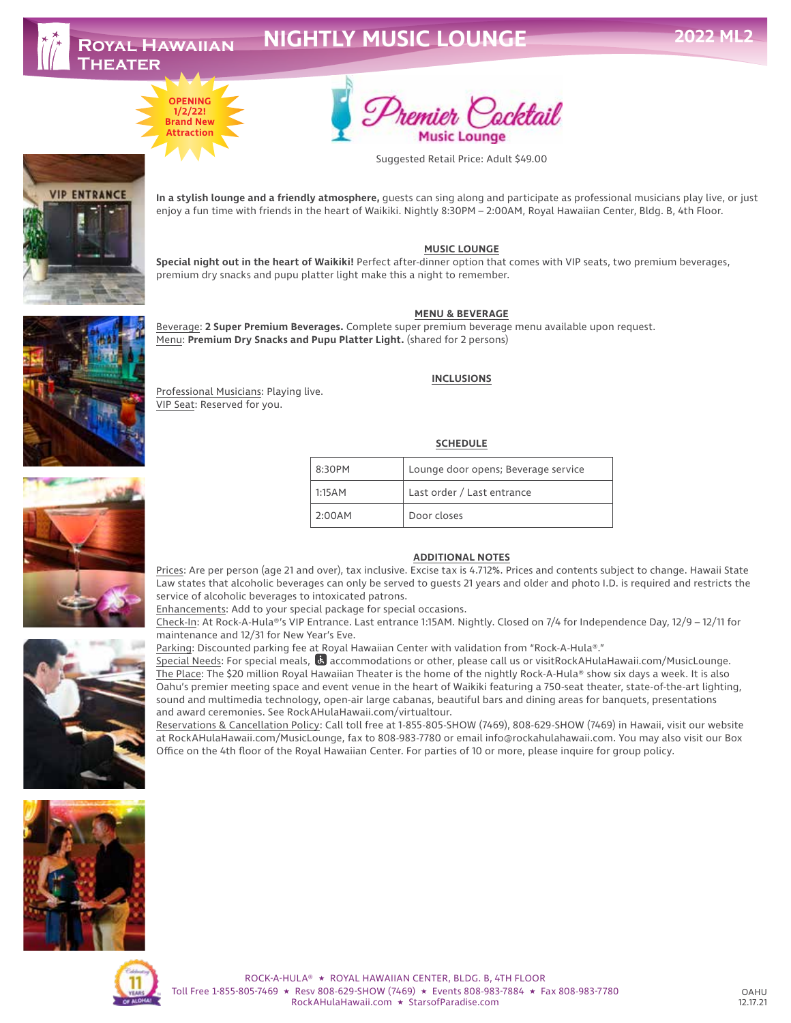**VIP ENTRANCE** 

# **NIGHTLY MUSIC LOUNGE**





Suggested Retail Price: Adult \$49.00

**In a stylish lounge and a friendly atmosphere,** guests can sing along and participate as professional musicians play live, or just enjoy a fun time with friends in the heart of Waikiki. Nightly 8:30PM – 2:00AM, Royal Hawaiian Center, Bldg. B, 4th Floor.

#### **MUSIC LOUNGE**

**Special night out in the heart of Waikiki!** Perfect after-dinner option that comes with VIP seats, two premium beverages, premium dry snacks and pupu platter light make this a night to remember.

#### **MENU & BEVERAGE**

Beverage: **2 Super Premium Beverages.** Complete super premium beverage menu available upon request. Menu: **Premium Dry Snacks and Pupu Platter Light.** (shared for 2 persons)

#### **INCLUSIONS**

#### **SCHEDULE**

| $8:30P$ M | Lounge door opens; Beverage service |
|-----------|-------------------------------------|
| 1:15AM    | Last order / Last entrance          |
| 2:00AM    | Door closes                         |

#### **ADDITIONAL NOTES**

Prices: Are per person (age 21 and over), tax inclusive. Excise tax is 4.712%. Prices and contents subject to change. Hawaii State Law states that alcoholic beverages can only be served to guests 21 years and older and photo I.D. is required and restricts the service of alcoholic beverages to intoxicated patrons.

Enhancements: Add to your special package for special occasions.

Check-In: At Rock-A-Hula®'s VIP Entrance. Last entrance 1:15AM. Nightly. Closed on 7/4 for Independence Day, 12/9 – 12/11 for maintenance and 12/31 for New Year's Eve.

Parking: Discounted parking fee at Royal Hawaiian Center with validation from "Rock-A-Hula®."

Special Needs: For special meals,  $\ddot{\mathbf{G}}$  accommodations or other, please call us or visitRockAHulaHawaii.com/MusicLounge. The Place: The \$20 million Royal Hawaiian Theater is the home of the nightly Rock-A-Hula® show six days a week. It is also Oahu's premier meeting space and event venue in the heart of Waikiki featuring a 750-seat theater, state-of-the-art lighting, sound and multimedia technology, open-air large cabanas, beautiful bars and dining areas for banquets, presentations and award ceremonies. See RockAHulaHawaii.com/virtualtour.

Reservations & Cancellation Policy: Call toll free at 1-855-805-SHOW (7469), 808-629-SHOW (7469) in Hawaii, visit our website at RockAHulaHawaii.com/MusicLounge, fax to 808-983-7780 or email info@rockahulahawaii.com. You may also visit our Box Office on the 4th floor of the Royal Hawaiian Center. For parties of 10 or more, please inquire for group policy.



ROCK-A-HULA® ★ ROYAL HAWAIIAN CENTER, BLDG. B, 4TH FLOOR Toll Free 1-855-805-7469 ★ Resv 808-629-SHOW (7469) ★ Events 808-983-7884 ★ Fax 808-983-7780 RockAHulaHawaii.com ★ StarsofParadise.com